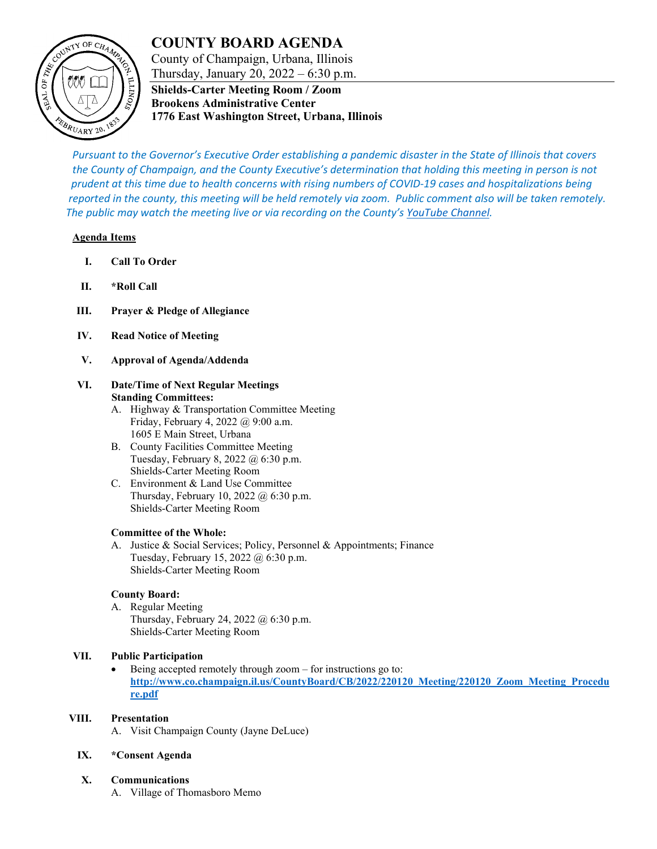# **COUNTY BOARD AGENDA**



## County of Champaign, Urbana, Illinois Thursday, January 20, 2022 – 6:30 p.m.

**Shields-Carter Meeting Room / Zoom Brookens Administrative Center 1776 East Washington Street, Urbana, Illinois**

*Pursuant to the Governor's Executive Order establishing a pandemic disaster in the State of Illinois that covers the County of Champaign, and the County Executive's determination that holding this meeting in person is not prudent at this time due to health concerns with rising numbers of COVID-19 cases and hospitalizations being reported in the county, this meeting will be held remotely via zoom. Public comment also will be taken remotely. The public may watch the meeting live or via recording on the County's [YouTube Channel.](https://www.youtube.com/user/ChampaignCountyIL)*

### **Agenda Items**

- **I. Call To Order**
- **II. \*Roll Call**
- **III. Prayer & Pledge of Allegiance**
- **IV. Read Notice of Meeting**
- **V. Approval of Agenda/Addenda**

#### **VI. Date/Time of Next Regular Meetings Standing Committees:**

- A. Highway & Transportation Committee Meeting Friday, February 4, 2022 @ 9:00 a.m. 1605 E Main Street, Urbana
- B. County Facilities Committee Meeting Tuesday, February 8, 2022 @ 6:30 p.m. Shields-Carter Meeting Room
- C. Environment & Land Use Committee Thursday, February 10, 2022 @ 6:30 p.m. Shields-Carter Meeting Room

### **Committee of the Whole:**

A. Justice & Social Services; Policy, Personnel & Appointments; Finance Tuesday, February 15, 2022 @ 6:30 p.m. Shields-Carter Meeting Room

### **County Board:**

A. Regular Meeting Thursday, February 24, 2022 @ 6:30 p.m. Shields-Carter Meeting Room

### **VII. Public Participation**

• Being accepted remotely through zoom – for instructions go to: **[http://www.co.champaign.il.us/CountyBoard/CB/2022/220120\\_Meeting/220120\\_Zoom\\_Meeting\\_Procedu](http://www.co.champaign.il.us/CountyBoard/CB/2022/220120_Meeting/220120_Zoom_Meeting_Procedure.pdf) [re.pdf](http://www.co.champaign.il.us/CountyBoard/CB/2022/220120_Meeting/220120_Zoom_Meeting_Procedure.pdf)**

### **VIII. Presentation**

A. Visit Champaign County (Jayne DeLuce)

### **IX. \*Consent Agenda**

### **X. Communications**

A. Village of Thomasboro Memo